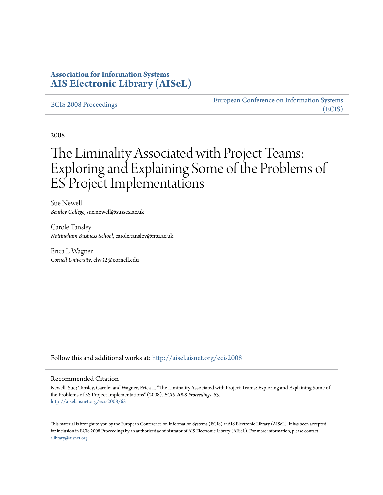## **Association for Information Systems [AIS Electronic Library \(AISeL\)](http://aisel.aisnet.org?utm_source=aisel.aisnet.org%2Fecis2008%2F63&utm_medium=PDF&utm_campaign=PDFCoverPages)**

#### [ECIS 2008 Proceedings](http://aisel.aisnet.org/ecis2008?utm_source=aisel.aisnet.org%2Fecis2008%2F63&utm_medium=PDF&utm_campaign=PDFCoverPages)

[European Conference on Information Systems](http://aisel.aisnet.org/ecis?utm_source=aisel.aisnet.org%2Fecis2008%2F63&utm_medium=PDF&utm_campaign=PDFCoverPages) [\(ECIS\)](http://aisel.aisnet.org/ecis?utm_source=aisel.aisnet.org%2Fecis2008%2F63&utm_medium=PDF&utm_campaign=PDFCoverPages)

2008

# The Liminality Associated with Project Teams: Exploring and Explaining Some of the Problems of ES Project Implementations

Sue Newell *Bentley College*, sue.newell@sussex.ac.uk

Carole Tansley *Nottingham Business School*, carole.tansley@ntu.ac.uk

Erica L Wagner *Cornell University*, elw32@cornell.edu

Follow this and additional works at: [http://aisel.aisnet.org/ecis2008](http://aisel.aisnet.org/ecis2008?utm_source=aisel.aisnet.org%2Fecis2008%2F63&utm_medium=PDF&utm_campaign=PDFCoverPages)

#### Recommended Citation

Newell, Sue; Tansley, Carole; and Wagner, Erica L, "The Liminality Associated with Project Teams: Exploring and Explaining Some of the Problems of ES Project Implementations" (2008). *ECIS 2008 Proceedings*. 63. [http://aisel.aisnet.org/ecis2008/63](http://aisel.aisnet.org/ecis2008/63?utm_source=aisel.aisnet.org%2Fecis2008%2F63&utm_medium=PDF&utm_campaign=PDFCoverPages)

This material is brought to you by the European Conference on Information Systems (ECIS) at AIS Electronic Library (AISeL). It has been accepted for inclusion in ECIS 2008 Proceedings by an authorized administrator of AIS Electronic Library (AISeL). For more information, please contact [elibrary@aisnet.org.](mailto:elibrary@aisnet.org%3E)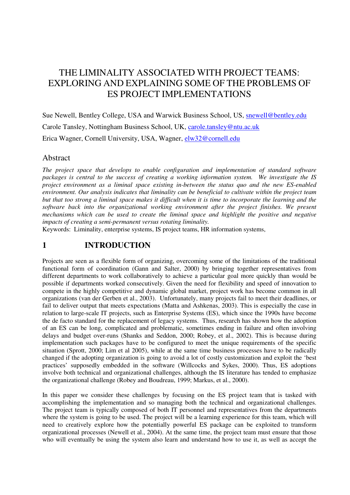# THE LIMINALITY ASSOCIATED WITH PROJECT TEAMS: EXPLORING AND EXPLAINING SOME OF THE PROBLEMS OF ES PROJECT IMPLEMENTATIONS

Sue Newell, Bentley College, USA and Warwick Business School, US, [snewell@bentley.edu](mailto:snewell@bentley.edu) Carole Tansley, Nottingham Business School, UK, [carole.tansley@ntu.ac.uk](mailto:carole.tansley@ntu.ac.uk) Erica Wagner, Cornell University, USA, Wagner, [elw32@cornell.edu](mailto:elw32@cornell.edu)

## Abstract

*The project space that develops to enable configuration and implementation of standard software packages is central to the success of creating a working information system. We investigate the IS project environment as a liminal space existing in-between the status quo and the new ES-enabled environment. Our analysis indicates that liminality can be beneficial to cultivate within the project team but that too strong a liminal space makes it difficult when it is time to incorporate the learning and the software back into the organizational working environment after the project finishes. We present mechanisms which can be used to create the liminal space and highlight the positive and negative impacts of creating a semi-permanent versus rotating liminality.* 

Keywords: Liminality, enterprise systems, IS project teams, HR information systems,

# **1 INTRODUCTION**

Projects are seen as a flexible form of organizing, overcoming some of the limitations of the traditional functional form of coordination (Gann and Salter, 2000) by bringing together representatives from different departments to work collaboratively to achieve a particular goal more quickly than would be possible if departments worked consecutively. Given the need for flexibility and speed of innovation to compete in the highly competitive and dynamic global market, project work has become common in all organizations (van der Gerben et al., 2003). Unfortunately, many projects fail to meet their deadlines, or fail to deliver output that meets expectations (Matta and Ashkenas, 2003). This is especially the case in relation to large-scale IT projects, such as Enterprise Systems (ES), which since the 1990s have become the de facto standard for the replacement of legacy systems. Thus, research has shown how the adoption of an ES can be long, complicated and problematic, sometimes ending in failure and often involving delays and budget over-runs (Shanks and Seddon, 2000; Robey, et al., 2002). This is because during implementation such packages have to be configured to meet the unique requirements of the specific situation (Sprott, 2000; Lim et al 2005), while at the same time business processes have to be radically changed if the adopting organization is going to avoid a lot of costly customization and exploit the 'best practices' supposedly embedded in the software (Willcocks and Sykes, 2000). Thus, ES adoptions involve both technical and organizational challenges, although the IS literature has tended to emphasize the organizational challenge (Robey and Boudreau, 1999; Markus, et al., 2000).

In this paper we consider these challenges by focusing on the ES project team that is tasked with accomplishing the implementation and so managing both the technical and organizational challenges. The project team is typically composed of both IT personnel and representatives from the departments where the system is going to be used. The project will be a learning experience for this team, which will need to creatively explore how the potentially powerful ES package can be exploited to transform organizational processes (Newell et al., 2004). At the same time, the project team must ensure that those who will eventually be using the system also learn and understand how to use it, as well as accept the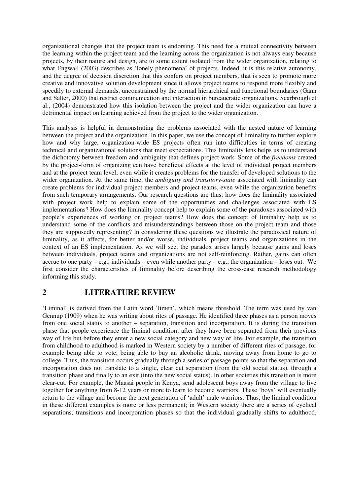organizational changes that the project team is endorsing. This need for a mutual connectivity between the learning within the project team and the learning across the organization is not always easy because projects, by their nature and design, are to some extent isolated from the wider organization, relating to what Engwall (2003) describes as 'lonely phenomena' of projects. Indeed, it is this relative autonomy, and the degree of decision discretion that this confers on project members, that is seen to promote more creative and innovative solution development since it allows project teams to respond more flexibly and speedily to external demands, unconstrained by the normal hierarchical and functional boundaries (Gann and Salter, 2000) that restrict communication and interaction in bureaucratic organizations. Scarbrough et al., (2004) demonstrated how this isolation between the project and the wider organization can have a detrimental impact on learning achieved from the project to the wider organization.

This analysis is helpful in demonstrating the problems associated with the nested nature of learning between the project and the organization. In this paper, we use the concept of liminality to further explore how and why large, organization-wide ES projects often run into difficulties in terms of creating technical and organizational solutions that meet expectations. This liminality lens helps us to understand the dichotomy between freedom and ambiguity that defines project work. Some of the *freedoms* created by the project-form of organizing can have beneficial effects at the level of individual project members and at the project team level, even while it creates problems for the transfer of developed solutions to the wider organization. At the same time, the *ambiguity and transitory-state* associated with liminality can create problems for individual project members and project teams, even while the organization benefits from such temporary arrangements. Our research questions are thus: how does the liminality associated with project work help to explain some of the opportunities and challenges associated with ES implementations? How does the liminality concept help to explain some of the paradoxes associated with people's experiences of working on project teams? How does the concept of liminality help us to understand some of the conflicts and misunderstandings between those on the project team and those they are supposedly representing? In considering these questions we illustrate the paradoxical nature of liminality, as it affects, for better and/or worse, individuals, project teams and organizations in the context of an ES implementation. As we will see, the paradox arises largely because gains and loses between individuals, project teams and organizations are not self-reinforcing. Rather, gains can often accrue to one party – e.g., individuals – even while another party – e.g., the organization – loses out. We first consider the characteristics of liminality before describing the cross-case research methodology informing this study.

## **2 LITERATURE REVIEW**

'Liminal' is derived from the Latin word 'limen', which means threshold. The term was used by van Gennup (1909) when he was writing about rites of passage. He identified three phases as a person moves from one social status to another – separation, transition and incorporation. It is during the transition phase that people experience the liminal condition; after they have been separated from their previous way of life but before they enter a new social category and new way of life. For example, the transition from childhood to adulthood is marked in Western society by a number of different rites of passage, for example being able to vote, being able to buy an alcoholic drink, moving away from home to go to college. Thus, the transition occurs gradually through a series of passage points so that the separation and incorporation does not translate to a single, clear cut separation (from the old social status), through a transition phase and finally to an exit (into the new social status). In other societies this transition is more clear-cut. For example, the Maasai people in Kenya, send adolescent boys away from the village to live together for anything from 8-12 years or more to learn to become warriors. These 'boys' will eventually return to the village and become the next generation of 'adult' male warriors. Thus, the liminal condition in these different examples is more or less permanent; in Western society there are a series of cyclical separations, transitions and incorporation phases so that the individual gradually shifts to adulthood,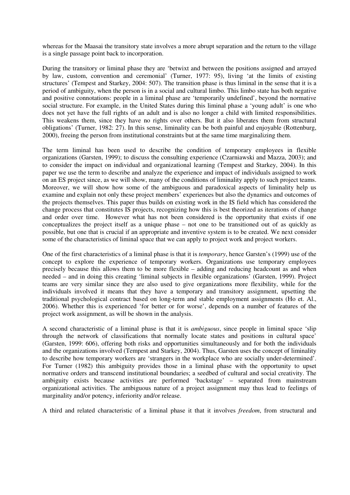whereas for the Maasai the transitory state involves a more abrupt separation and the return to the village is a single passage point back to incorporation.

During the transitory or liminal phase they are 'betwixt and between the positions assigned and arrayed by law, custom, convention and ceremonial' (Turner, 1977: 95), living 'at the limits of existing structures' (Tempest and Starkey, 2004: 507). The transition phase is thus liminal in the sense that it is a period of ambiguity, when the person is in a social and cultural limbo. This limbo state has both negative and positive connotations: people in a liminal phase are 'temporarily undefined', beyond the normative social structure. For example, in the United States during this liminal phase a 'young adult' is one who does not yet have the full rights of an adult and is also no longer a child with limited responsibilities. This weakens them, since they have no rights over others. But it also liberates them from structural obligations' (Turner, 1982: 27). In this sense, liminality can be both painful and enjoyable (Rottenburg, 2000), freeing the person from institutional constraints but at the same time marginalizing them.

The term liminal has been used to describe the condition of temporary employees in flexible organizations (Garsten, 1999); to discuss the consulting experience (Czarniawski and Mazza, 2003); and to consider the impact on individual and organizational learning (Tempest and Starkey, 2004). In this paper we use the term to describe and analyze the experience and impact of individuals assigned to work on an ES project since, as we will show, many of the conditions of liminality apply to such project teams. Moreover, we will show how some of the ambiguous and paradoxical aspects of liminality help us examine and explain not only these project members' experiences but also the dynamics and outcomes of the projects themselves. This paper thus builds on existing work in the IS field which has considered the change process that constitutes IS projects, recognizing how this is best theorized as iterations of change and order over time. However what has not been considered is the opportunity that exists if one conceptualizes the project itself as a unique phase – not one to be transitioned out of as quickly as possible, but one that is crucial if an appropriate and inventive system is to be created. We next consider some of the characteristics of liminal space that we can apply to project work and project workers.

One of the first characteristics of a liminal phase is that it is *temporary*, hence Garsten's (1999) use of the concept to explore the experience of temporary workers. Organizations use temporary employees precisely because this allows them to be more flexible – adding and reducing headcount as and when needed – and in doing this creating 'liminal subjects in flexible organizations' (Garsten, 1999). Project teams are very similar since they are also used to give organizations more flexibility, while for the individuals involved it means that they have a temporary and transitory assignment, upsetting the traditional psychological contract based on long-term and stable employment assignments (Ho et. Al., 2006). Whether this is experienced 'for better or for worse', depends on a number of features of the project work assignment, as will be shown in the analysis.

A second characteristic of a liminal phase is that it is *ambiguous*, since people in liminal space 'slip through the network of classifications that normally locate states and positions in cultural space' (Garsten, 1999: 606), offering both risks and opportunities simultaneously and for both the individuals and the organizations involved (Tempest and Starkey, 2004). Thus, Garsten uses the concept of liminality to describe how temporary workers are 'strangers in the workplace who are socially under-determined'. For Turner (1982) this ambiguity provides those in a liminal phase with the opportunity to upset normative orders and transcend institutional boundaries; a seedbed of cultural and social creativity. The ambiguity exists because activities are performed 'backstage' – separated from mainstream organizational activities. The ambiguous nature of a project assignment may thus lead to feelings of marginality and/or potency, inferiority and/or release.

A third and related characteristic of a liminal phase it that it involves *freedom*, from structural and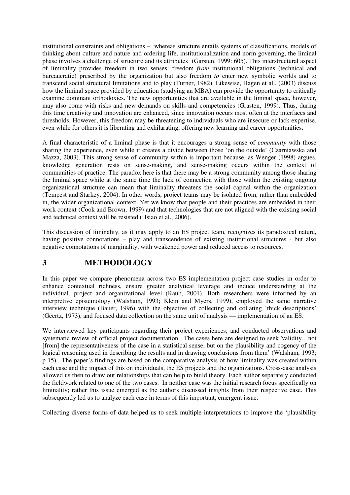institutional constraints and obligations – 'whereas structure entails systems of classifications, models of thinking about culture and nature and ordering life, institutionalization and norm governing, the liminal phase involves a challenge of structure and its attributes' (Garsten, 1999: 605). This interstructural aspect of liminality provides freedom in two senses: freedom *from* institutional obligations (technical and bureaucratic) prescribed by the organization but also freedom *to* enter new symbolic worlds and to transcend social structural limitations and to play (Turner, 1982). Likewise, Hagen et al., (2003) discuss how the liminal space provided by education (studying an MBA) can provide the opportunity to critically examine dominant orthodoxies. The new opportunities that are available in the liminal space, however, may also come with risks and new demands on skills and competencies (Grasten, 1999). Thus, during this time creativity and innovation are enhanced, since innovation occurs most often at the interfaces and thresholds. However, this freedom may be threatening to individuals who are insecure or lack expertise, even while for others it is liberating and exhilarating, offering new learning and career opportunities.

A final characteristic of a liminal phase is that it encourages a strong sense of *community* with those sharing the experience, even while it creates a divide between those 'on the outside' (Czarniawska and Mazza, 2003). This strong sense of community within is important because, as Wenger (1998) argues, knowledge generation rests on sense-making, and sense-making occurs within the context of communities of practice. The paradox here is that there may be a strong community among those sharing the liminal space while at the same time the lack of connection with those within the existing ongoing organizational structure can mean that liminality threatens the social capital within the organization (Tempest and Starkey, 2004). In other words, project teams may be isolated from, rather than embedded in, the wider organizational context. Yet we know that people and their practices are embedded in their work context (Cook and Brown, 1999) and that technologies that are not aligned with the existing social and technical context will be resisted (Hsiao et al., 2006).

This discussion of liminality, as it may apply to an ES project team, recognizes its paradoxical nature, having positive connotations – play and transcendence of existing institutional structures - but also negative connotations of marginality, with weakened power and reduced access to resources.

## **3 METHODOLOGY**

In this paper we compare phenomena across two ES implementation project case studies in order to enhance contextual richness, ensure greater analytical leverage and induce understanding at the individual, project and organizational level (Raub, 2001). Both researchers were informed by an interpretive epistemology (Walsham, 1993; Klein and Myers, 1999), employed the same narrative interview technique (Bauer, 1996) with the objective of collecting and collating 'thick descriptions' (Geertz, 1973), and focused data collection on the same unit of analysis — implementation of an ES.

We interviewed key participants regarding their project experiences, and conducted observations and systematic review of official project documentation. The cases here are designed to seek 'validity…not [from] the representativeness of the case in a statistical sense, but on the plausibility and cogency of the logical reasoning used in describing the results and in drawing conclusions from them' (Walsham, 1993; p 15). The paper's findings are based on the comparative analysis of how liminality was created within each case and the impact of this on individuals, the ES projects and the organizations. Cross-case analysis allowed us then to draw out relationships that can help to build theory. Each author separately conducted the fieldwork related to one of the two cases. In neither case was the initial research focus specifically on liminality; rather this issue emerged as the authors discussed insights from their respective case. This subsequently led us to analyze each case in terms of this important, emergent issue.

Collecting diverse forms of data helped us to seek multiple interpretations to improve the 'plausibility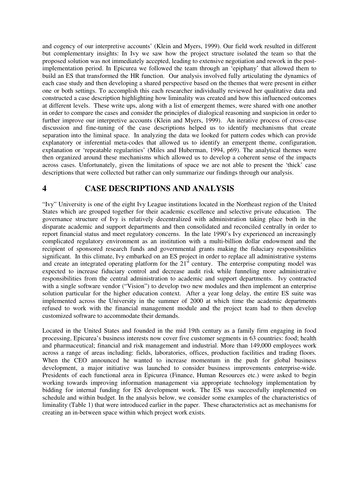and cogency of our interpretive accounts' (Klein and Myers, 1999). Our field work resulted in different but complementary insights: In Ivy we saw how the project structure isolated the team so that the proposed solution was not immediately accepted, leading to extensive negotiation and rework in the postimplementation period. In Epicurea we followed the team through an 'epiphany' that allowed them to build an ES that transformed the HR function. Our analysis involved fully articulating the dynamics of each case study and then developing a shared perspective based on the themes that were present in either one or both settings. To accomplish this each researcher individually reviewed her qualitative data and constructed a case description highlighting how liminality was created and how this influenced outcomes at different levels. These write ups, along with a list of emergent themes, were shared with one another in order to compare the cases and consider the principles of dialogical reasoning and suspicion in order to further improve our interpretive accounts (Klein and Myers, 1999). An iterative process of cross-case discussion and fine-tuning of the case descriptions helped us to identify mechanisms that create separation into the liminal space. In analyzing the data we looked for pattern codes which can provide explanatory or inferential meta-codes that allowed us to identify an emergent theme, configuration, explanation or 'repeatable regularities' (Miles and Huberman, 1994, p69). The analytical themes were then organized around these mechanisms which allowed us to develop a coherent sense of the impacts across cases. Unfortunately, given the limitations of space we are not able to present the 'thick' case descriptions that were collected but rather can only summarize our findings through our analysis.

## **4 CASE DESCRIPTIONS AND ANALYSIS**

"Ivy" University is one of the eight Ivy League institutions located in the Northeast region of the United States which are grouped together for their academic excellence and selective private education. The governance structure of Ivy is relatively decentralized with administration taking place both in the disparate academic and support departments and then consolidated and reconciled centrally in order to report financial status and meet regulatory concerns. In the late 1990's Ivy experienced an increasingly complicated regulatory environment as an institution with a multi-billion dollar endowment and the recipient of sponsored research funds and governmental grants making the fiduciary responsibilities significant. In this climate, Ivy embarked on an ES project in order to replace all administrative systems and create an integrated operating platform for the 21<sup>st</sup> century. The enterprise computing model was expected to increase fiduciary control and decrease audit risk while funneling more administrative responsibilities from the central administration to academic and support departments. Ivy contracted with a single software vendor ("Vision") to develop two new modules and then implement an enterprise solution particular for the higher education context. After a year long delay, the entire ES suite was implemented across the University in the summer of 2000 at which time the academic departments refused to work with the financial management module and the project team had to then develop customized software to accommodate their demands.

Located in the United States and founded in the mid 19th century as a family firm engaging in food processing, Epicurea's business interests now cover five customer segments in 63 countries: food; health and pharmaceutical; financial and risk management and industrial. More than 149,000 employees work across a range of areas including: fields, laboratories, offices, production facilities and trading floors. When the CEO announced he wanted to increase momentum in the push for global business development, a major initiative was launched to consider business improvements enterprise-wide. Presidents of each functional area in Epicurea (Finance, Human Resources etc.) were asked to begin working towards improving information management via appropriate technology implementation by bidding for internal funding for ES development work. The ES was successfully implemented on schedule and within budget. In the analysis below, we consider some examples of the characteristics of liminality (Table 1) that were introduced earlier in the paper. These characteristics act as mechanisms for creating an in-between space within which project work exists.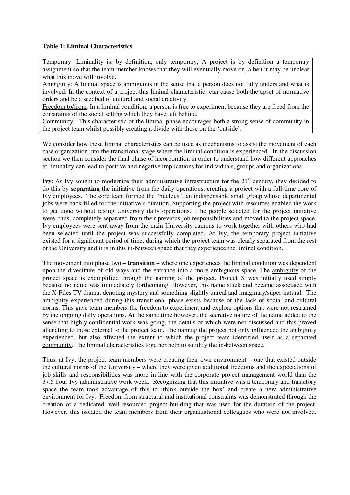#### **Table 1: Liminal Characteristics**

Temporary: Liminality is, by definition, only temporary, A project is by definition a temporary assignment so that the team member knows that they will eventually move on, albeit it may be unclear what this move will involve.

Ambiguity: A liminal space is ambiguous in the sense that a person does not fully understand what is involved. In the context of a project this liminal characteristic can cause both the upset of normative orders and be a seedbed of cultural and social creativity.

Freedom to/from: In a liminal condition, a person is free to experiment because they are freed from the constraints of the social setting which they have left behind.

Community: This characteristic of the liminal phase encourages both a strong sense of community in the project team whilst possibly creating a divide with those on the 'outside'.

We consider how these liminal characteristics can be used as mechanisms to assist the movement of each case organization into the transitional stage where the liminal condition is experienced. In the discussion section we then consider the final phase of incorporation in order to understand how different approaches to liminality can lead to positive and negative implications for individuals, groups and organizations.

**Ivy**: As Ivy sought to modernize their administrative infrastructure for the 21<sup>st</sup> century, they decided to do this by **separating** the initiative from the daily operations, creating a project with a full-time core of Ivy employees. The core team formed the "nucleus", an indispensable small group whose departmental jobs were back-filled for the initiative's duration. Supporting the project with resources enabled the work to get done without taxing University daily operations. The people selected for the project initiative were, thus, completely separated from their previous job responsibilities and moved to the project space. Ivy employees were sent away from the main University campus to work together with others who had been selected until the project was successfully completed. At Ivy, the temporary project initiative existed for a significant period of time, during which the project team was clearly separated from the rest of the University and it is in this in-between space that they experience the liminal condition.

The movement into phase two – **transition** – where one experiences the liminal condition was dependent upon the divestiture of old ways and the entrance into a more ambiguous space. The ambiguity of the project space is exemplified through the naming of the project. Project X was initially used simply because no name was immediately forthcoming. However, this name stuck and became associated with the X-Files TV drama, denoting mystery and something slightly unreal and imaginary/super-natural. The ambiguity experienced during this transitional phase exists because of the lack of social and cultural norms. This gave team members the freedom to experiment and explore options that were not restrained by the ongoing daily operations. At the same time however, the secretive nature of the name added to the sense that highly confidential work was going, the details of which were not discussed and this proved alienating to those external to the project team. The naming the project not only influenced the ambiguity experienced, but also affected the extent to which the project team identified itself as a separated community. The liminal characteristics together help to solidify the in-between space.

Thus, at Ivy, the project team members were creating their own environment – one that existed outside the cultural norms of the University – where they were given additional freedoms and the expectations of job skills and responsibilities was more in line with the corporate project management world than the 37.5 hour Ivy administrative work week. Recognizing that this initiative was a temporary and transitory space the team took advantage of this to 'think outside the box' and create a new administrative environment for Ivy. Freedom from structural and institutional constraints was demonstrated through the creation of a dedicated, well-resourced project building that was used for the duration of the project. However, this isolated the team members from their organizational colleagues who were not involved.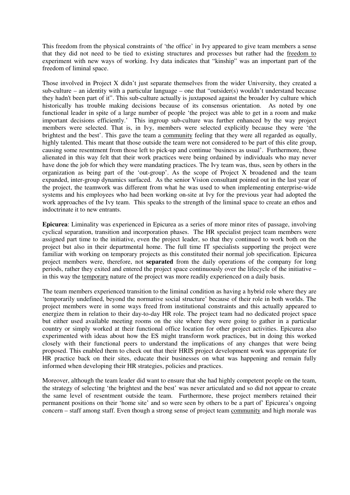This freedom from the physical constraints of 'the office' in Ivy appeared to give team members a sense that they did not need to be tied to existing structures and processes but rather had the freedom to experiment with new ways of working. Ivy data indicates that "kinship" was an important part of the freedom of liminal space.

Those involved in Project X didn't just separate themselves from the wider University, they created a sub-culture – an identity with a particular language – one that "outsider(s) wouldn't understand because they hadn't been part of it". This sub-culture actually is juxtaposed against the broader Ivy culture which historically has trouble making decisions because of its consensus orientation. As noted by one functional leader in spite of a large number of people 'the project was able to get in a room and make important decisions efficiently.' This ingroup sub-culture was further enhanced by the way project members were selected. That is, in Ivy, members were selected explicitly because they were 'the brightest and the best'. This gave the team a community feeling that they were all regarded as equally, highly talented. This meant that those outside the team were not considered to be part of this elite group, causing some resentment from those left to pick-up and continue 'business as usual'. Furthermore, those alienated in this way felt that their work practices were being ordained by individuals who may never have done the job for which they were mandating practices. The Ivy team was, thus, seen by others in the organization as being part of the 'out-group'. As the scope of Project X broadened and the team expanded, inter-group dynamics surfaced. As the senior Vision consultant pointed out in the last year of the project, the teamwork was different from what he was used to when implementing enterprise-wide systems and his employees who had been working on-site at Ivy for the previous year had adopted the work approaches of the Ivy team. This speaks to the strength of the liminal space to create an ethos and indoctrinate it to new entrants.

**Epicurea**: Liminality was experienced in Epicurea as a series of more minor rites of passage, involving cyclical separation, transition and incorporation phases. The HR specialist project team members were assigned part time to the initiative, even the project leader, so that they continued to work both on the project but also in their departmental home. The full time IT specialists supporting the project were familiar with working on temporary projects as this constituted their normal job specification. Epicurea project members were, therefore, not **separated** from the daily operations of the company for long periods, rather they exited and entered the project space continuously over the lifecycle of the initiative – in this way the temporary nature of the project was more readily experienced on a daily basis.

The team members experienced transition to the liminal condition as having a hybrid role where they are 'temporarily undefined, beyond the normative social structure' because of their role in both worlds. The project members were in some ways freed from institutional constraints and this actually appeared to energize them in relation to their day-to-day HR role. The project team had no dedicated project space but either used available meeting rooms on the site where they were going to gather in a particular country or simply worked at their functional office location for other project activities. Epicurea also experimented with ideas about how the ES might transform work practices, but in doing this worked closely with their functional peers to understand the implications of any changes that were being proposed. This enabled them to check out that their HRIS project development work was appropriate for HR practice back on their sites, educate their businesses on what was happening and remain fully informed when developing their HR strategies, policies and practices.

Moreover, although the team leader did want to ensure that she had highly competent people on the team, the strategy of selecting 'the brightest and the best' was never articulated and so did not appear to create the same level of resentment outside the team. Furthermore, these project members retained their permanent positions on their 'home site' and so were seen by others to be a part of' Epicurea's ongoing concern – staff among staff. Even though a strong sense of project team community and high morale was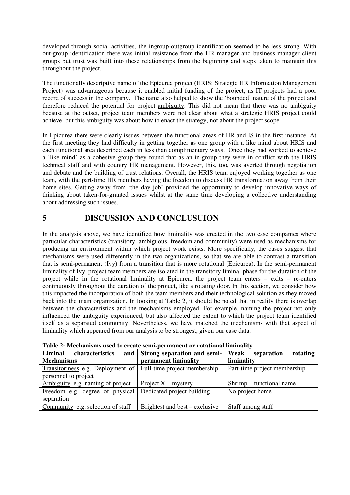developed through social activities, the ingroup-outgroup identification seemed to be less strong. With out-group identification there was initial resistance from the HR manager and business manager client groups but trust was built into these relationships from the beginning and steps taken to maintain this throughout the project.

The functionally descriptive name of the Epicurea project (HRIS: Strategic HR Information Management Project) was advantageous because it enabled initial funding of the project, as IT projects had a poor record of success in the company. The name also helped to show the 'bounded' nature of the project and therefore reduced the potential for project ambiguity. This did not mean that there was no ambiguity because at the outset, project team members were not clear about what a strategic HRIS project could achieve, but this ambiguity was about how to enact the strategy, not about the project scope.

In Epicurea there were clearly issues between the functional areas of HR and IS in the first instance. At the first meeting they had difficulty in getting together as one group with a like mind about HRIS and each functional area described each in less than complimentary ways. Once they had worked to achieve a 'like mind' as a cohesive group they found that as an in-group they were in conflict with the HRIS technical staff and with country HR management. However, this, too, was averted through negotiation and debate and the building of trust relations. Overall, the HRIS team enjoyed working together as one team, with the part-time HR members having the freedom to discuss HR transformation away from their home sites. Getting away from 'the day job' provided the opportunity to develop innovative ways of thinking about taken-for-granted issues whilst at the same time developing a collective understanding about addressing such issues.

# **5 DISCUSSION AND CONCLUSUION**

In the analysis above, we have identified how liminality was created in the two case companies where particular characteristics (transitory, ambiguous, freedom and community) were used as mechanisms for producing an environment within which project work exists. More specifically, the cases suggest that mechanisms were used differently in the two organizations, so that we are able to contrast a transition that is semi-permanent (Ivy) from a transition that is more rotational (Epicurea). In the semi-permanent liminality of Ivy, project team members are isolated in the transitory liminal phase for the duration of the project while in the rotational liminality at Epicurea, the project team enters – exits – re-enters continuously throughout the duration of the project, like a rotating door. In this section, we consider how this impacted the incorporation of both the team members and their technological solution as they moved back into the main organization. In looking at Table 2, it should be noted that in reality there is overlap between the characteristics and the mechanisms employed. For example, naming the project not only influenced the ambiguity experienced, but also affected the extent to which the project team identified itself as a separated community. Nevertheless, we have matched the mechanisms with that aspect of liminality which appeared from our analysis to be strongest, given our case data.

| Liminal<br>characteristics                                     | and Strong separation and semi- | Weak<br>separation<br>rotating |
|----------------------------------------------------------------|---------------------------------|--------------------------------|
| <b>Mechanisms</b>                                              | permanent liminality            | liminality                     |
| Transitoriness e.g. Deployment of Full-time project membership |                                 | Part-time project membership   |
| personnel to project                                           |                                 |                                |
| Ambiguity e.g. naming of project                               | Project $X$ – mystery           | Shrimp – functional name       |
| Freedom e.g. degree of physical                                | Dedicated project building      | No project home                |
| separation                                                     |                                 |                                |
| Community e.g. selection of staff                              | Brightest and best – exclusive  | Staff among staff              |

**Table 2: Mechanisms used to create semi-permanent or rotational liminality**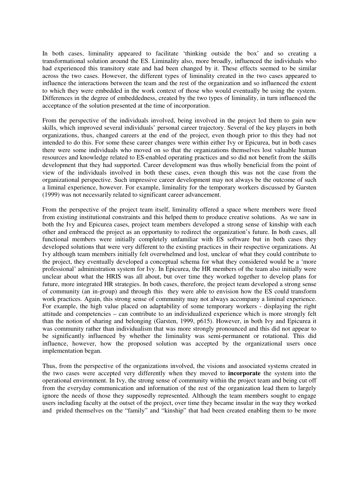In both cases, liminality appeared to facilitate 'thinking outside the box' and so creating a transformational solution around the ES. Liminality also, more broadly, influenced the individuals who had experienced this transitory state and had been changed by it. These effects seemed to be similar across the two cases. However, the different types of liminality created in the two cases appeared to influence the interactions between the team and the rest of the organization and so influenced the extent to which they were embedded in the work context of those who would eventually be using the system. Differences in the degree of embeddedness, created by the two types of liminality, in turn influenced the acceptance of the solution presented at the time of incorporation.

From the perspective of the individuals involved, being involved in the project led them to gain new skills, which improved several individuals' personal career trajectory. Several of the key players in both organizations, thus, changed careers at the end of the project, even though prior to this they had not intended to do this. For some these career changes were within either Ivy or Epicurea, but in both cases there were some individuals who moved on so that the organizations themselves lost valuable human resources and knowledge related to ES-enabled operating practices and so did not benefit from the skills development that they had supported. Career development was thus wholly beneficial from the point of view of the individuals involved in both these cases, even though this was not the case from the organizational perspective. Such impressive career development may not always be the outcome of such a liminal experience, however. For example, liminality for the temporary workers discussed by Garsten (1999) was not necessarily related to significant career advancement.

From the perspective of the project team itself, liminality offered a space where members were freed from existing institutional constraints and this helped them to produce creative solutions. As we saw in both the Ivy and Epicurea cases, project team members developed a strong sense of kinship with each other and embraced the project as an opportunity to redirect the organization's future. In both cases, all functional members were initially completely unfamiliar with ES software but in both cases they developed solutions that were very different to the existing practices in their respective organizations. At Ivy although team members initially felt overwhelmed and lost, unclear of what they could contribute to the project, they eventually developed a conceptual schema for what they considered would be a 'more professional' administration system for Ivy. In Epicurea, the HR members of the team also initially were unclear about what the HRIS was all about, but over time they worked together to develop plans for future, more integrated HR strategies. In both cases, therefore, the project team developed a strong sense of community (an in-group) and through this they were able to envision how the ES could transform work practices. Again, this strong sense of community may not always accompany a liminal experience. For example, the high value placed on adaptability of some temporary workers - displaying the right attitude and competencies – can contribute to an individualized experience which is more strongly felt than the notion of sharing and belonging (Garsten, 1999, p615). However, in both Ivy and Epicurea it was community rather than individualism that was more strongly pronounced and this did not appear to be significantly influenced by whether the liminality was semi-permanent or rotational. This did influence, however, how the proposed solution was accepted by the organizational users once implementation began.

Thus, from the perspective of the organizations involved, the visions and associated systems created in the two cases were accepted very differently when they moved to **incorporate** the system into the operational environment. In Ivy, the strong sense of community within the project team and being cut off from the everyday communication and information of the rest of the organization lead them to largely ignore the needs of those they supposedly represented. Although the team members sought to engage users including faculty at the outset of the project, over time they became insular in the way they worked and prided themselves on the "family" and "kinship" that had been created enabling them to be more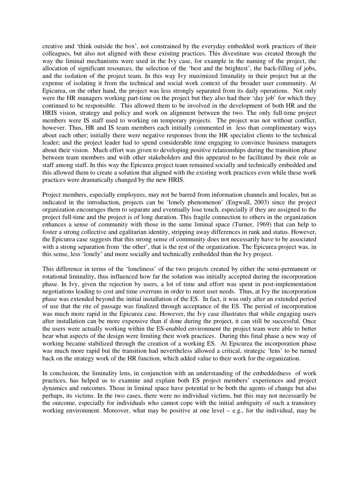creative and 'think outside the box', not constrained by the everyday embedded work practices of their colleagues, but also not aligned with these existing practices. This divestiture was created through the way the liminal mechanisms were used in the Ivy case, for example in the naming of the project, the allocation of significant resources, the selection of the 'best and the brightest', the back-filling of jobs, and the isolation of the project team. In this way Ivy maximized liminality in their project but at the expense of isolating it from the technical and social work context of the broader user community. At Epicurea, on the other hand, the project was less strongly separated from its daily operations. Not only were the HR managers working part-time on the project but they also had their 'day job' for which they continued to be responsible. This allowed them to be involved in the development of both HR and the HRIS vision, strategy and policy and work on alignment between the two. The only full-time project members were IS staff used to working on temporary projects. The project was not without conflict, however. Thus, HR and IS team members each initially commented in less than complimentary ways about each other; initially there were negative responses from the HR specialist clients to the technical leader; and the project leader had to spend considerable time engaging to convince business managers about their vision. Much effort was given to developing positive relationships during the transition phase between team members and with other stakeholders and this appeared to be facilitated by their role as staff among staff. In this way the Epicurea project team remained socially and technically embedded and this allowed them to create a solution that aligned with the existing work practices even while these work practices were dramatically changed by the new HRIS.

Project members, especially employees, may not be barred from information channels and locales, but as indicated in the introduction, projects can be 'lonely phenomenon' (Engwall, 2003) since the project organization encourages them to separate and eventually lose touch, especially if they are assigned to the project full-time and the project is of long duration. This fragile connection to others in the organization enhances a sense of community with those in the same liminal space (Turner, 1969) that can help to foster a strong collective and egalitarian identity, stripping away differences in rank and status. However, the Epicurea case suggests that this strong sense of community does not necessarily have to be associated with a strong separation from 'the other', that is the rest of the organization. The Epicurea project was, in this sense, less 'lonely' and more socially and technically embedded than the Ivy project.

This difference in terms of the 'loneliness' of the two projects created by either the semi-permanent or rotational liminality, thus influenced how far the solution was initially accepted during the incorporation phase. In Ivy, given the rejection by users, a lot of time and effort was spent in post-implementation negotiations leading to cost and time overruns in order to meet user needs. Thus, at Ivy the incorporation phase was extended beyond the initial installation of the ES. In fact, it was only after an extended period of use that the rite of passage was finalized through acceptance of the ES. The period of incorporation was much more rapid in the Epicurea case. However, the Ivy case illustrates that while engaging users after installation can be more expensive than if done during the project, it can still be successful. Once the users were actually working within the ES-enabled environment the project team were able to better hear what aspects of the design were limiting their work practices. During this final phase a new way of working became stabilized through the creation of a working ES. At Epicurea the incorporation phase was much more rapid but the transition had nevertheless allowed a critical, strategic 'lens' to be turned back on the strategy work of the HR function, which added value to their work for the organization.

In conclusion, the liminality lens, in conjunction with an understanding of the embeddedness of work practices, has helped us to examine and explain both ES project members' experiences and project dynamics and outcomes. Those in liminal space have potential to be both the agents of change but also perhaps, its victims. In the two cases, there were no individual victims, but this may not necessarily be the outcome, especially for individuals who cannot cope with the initial ambiguity of such a transitory working environment. Moreover, what may be positive at one level – e.g., for the individual, may be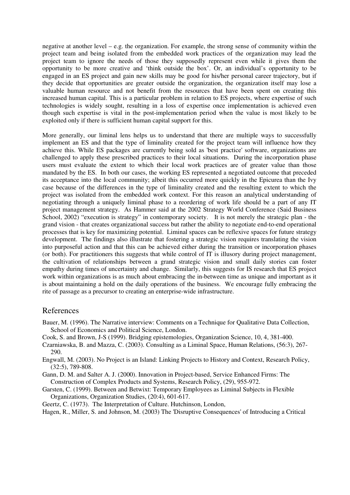negative at another level – e.g. the organization. For example, the strong sense of community within the project team and being isolated from the embedded work practices of the organization may lead the project team to ignore the needs of those they supposedly represent even while it gives them the opportunity to be more creative and 'think outside the box'. Or, an individual's opportunity to be engaged in an ES project and gain new skills may be good for his/her personal career trajectory, but if they decide that opportunities are greater outside the organization, the organization itself may lose a valuable human resource and not benefit from the resources that have been spent on creating this increased human capital. This is a particular problem in relation to ES projects, where expertise of such technologies is widely sought, resulting in a loss of expertise once implementation is achieved even though such expertise is vital in the post-implementation period when the value is most likely to be exploited only if there is sufficient human capital support for this.

More generally, our liminal lens helps us to understand that there are multiple ways to successfully implement an ES and that the type of liminality created for the project team will influence how they achieve this. While ES packages are currently being sold as 'best practice' software, organizations are challenged to apply these prescribed practices to their local situations. During the incorporation phase users must evaluate the extent to which their local work practices are of greater value than those mandated by the ES. In both our cases, the working ES represented a negotiated outcome that preceded its acceptance into the local community; albeit this occurred more quickly in the Epicurea than the Ivy case because of the differences in the type of liminality created and the resulting extent to which the project was isolated from the embedded work context. For this reason an analytical understanding of negotiating through a uniquely liminal phase to a reordering of work life should be a part of any IT project management strategy. As Hammer said at the 2002 Strategy World Conference (Said Business School, 2002) "execution is strategy" in contemporary society. It is not merely the strategic plan - the grand vision - that creates organizational success but rather the ability to negotiate end-to-end operational processes that is key for maximizing potential. Liminal spaces can be reflexive spaces for future strategy development. The findings also illustrate that fostering a strategic vision requires translating the vision into purposeful action and that this can be achieved either during the transition or incorporation phases (or both). For practitioners this suggests that while control of IT is illusory during project management, the cultivation of relationships between a grand strategic vision and small daily stories can foster empathy during times of uncertainty and change. Similarly, this suggests for IS research that ES project work within organizations is as much about embracing the in-between time as unique and important as it is about maintaining a hold on the daily operations of the business. We encourage fully embracing the rite of passage as a precursor to creating an enterprise-wide infrastructure.

## References

- Bauer, M. (1996). The Narrative interview: Comments on a Technique for Qualitative Data Collection, School of Economics and Political Science, London.
- Cook, S. and Brown, J-S (1999). Bridging epistemologies, Organization Science, 10, 4, 381-400.
- Czarniawska, B. and Mazza, C. (2003). Consulting as a Liminal Space, Human Relations, (56:3), 267- 290.
- Engwall, M. (2003). No Project is an Island: Linking Projects to History and Context, Research Policy, (32:5), 789-808.
- Gann, D. M. and Salter A. J. (2000). Innovation in Project-based, Service Enhanced Firms: The Construction of Complex Products and Systems, Research Policy, (29), 955-972.
- Garsten, C. (1999). Between and Betwixt: Temporary Employees as Liminal Subjects in Flexible Organizations, Organization Studies, (20:4), 601-617.
- Geertz, C. (1973). The Interpretation of Culture. Hutchinson, London,

Hagen, R., Miller, S. and Johnson, M. (2003) The 'Disruptive Consequences' of Introducing a Critical